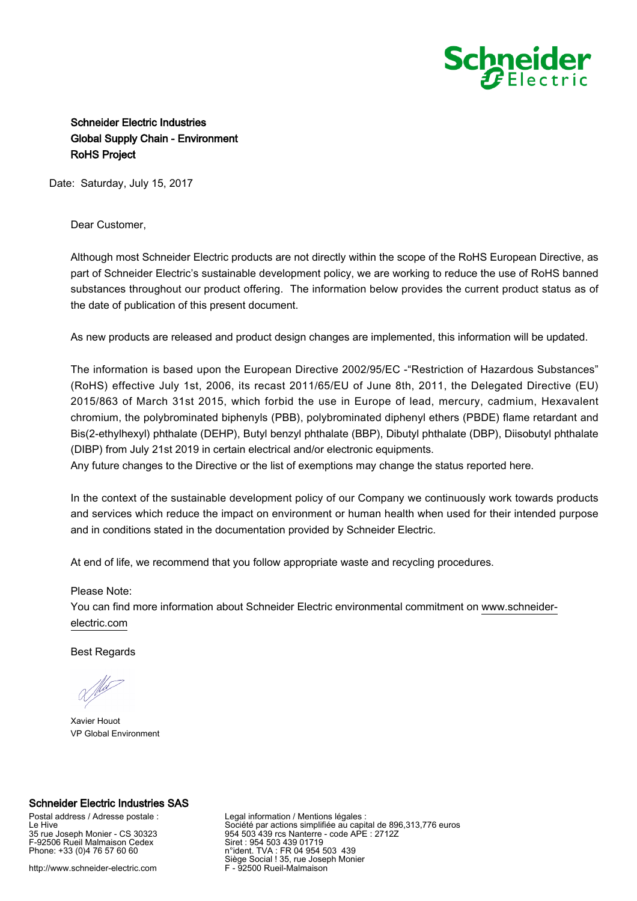

## Schneider Electric Industries Global Supply Chain - Environment RoHS Project

Date: Saturday, July 15, 2017

## Dear Customer,

Although most Schneider Electric products are not directly within the scope of the RoHS European Directive, as part of Schneider Electric's sustainable development policy, we are working to reduce the use of RoHS banned substances throughout our product offering. The information below provides the current product status as of the date of publication of this present document.

As new products are released and product design changes are implemented, this information will be updated.

The information is based upon the European Directive 2002/95/EC -"Restriction of Hazardous Substances" (RoHS) effective July 1st, 2006, its recast 2011/65/EU of June 8th, 2011, the Delegated Directive (EU) 2015/863 of March 31st 2015, which forbid the use in Europe of lead, mercury, cadmium, Hexavalent chromium, the polybrominated biphenyls (PBB), polybrominated diphenyl ethers (PBDE) flame retardant and Bis(2-ethylhexyl) phthalate (DEHP), Butyl benzyl phthalate (BBP), Dibutyl phthalate (DBP), Diisobutyl phthalate (DIBP) from July 21st 2019 in certain electrical and/or electronic equipments.

Any future changes to the Directive or the list of exemptions may change the status reported here.

In the context of the sustainable development policy of our Company we continuously work towards products and services which reduce the impact on environment or human health when used for their intended purpose and in conditions stated in the documentation provided by Schneider Electric.

At end of life, we recommend that you follow appropriate waste and recycling procedures.

## Please Note:

You can find more information about Schneider Electric environmental commitment on [www.schneider](https://www.schneider-electric.com)[electric.com](https://www.schneider-electric.com)

Best Regards

Xavier Houot VP Global Environment

## Schneider Electric Industries SAS

Postal address / Adresse postale : Le Hive 35 rue Joseph Monier - CS 30323 F-92506 Rueil Malmaison Cedex Phone: +33 (0)4 76 57 60 60

http://www.schneider-electric.com

Legal information / Mentions légales : Société par actions simplifiée au capital de 896,313,776 euros 954 503 439 rcs Nanterre - code APE : 2712Z Siret : 954 503 439 01719 n°ident. TVA : FR 04 954 503 439 Siège Social ! 35, rue Joseph Monier F - 92500 Rueil-Malmaison